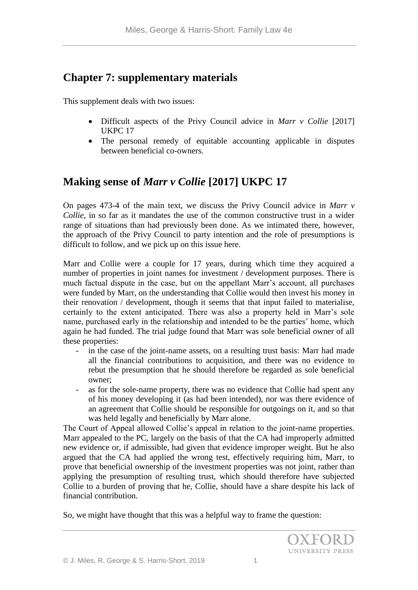# **Chapter 7: supplementary materials**

This supplement deals with two issues:

- Difficult aspects of the Privy Council advice in *Marr v Collie* [2017] UKPC 17
- The personal remedy of equitable accounting applicable in disputes between beneficial co-owners.

# **Making sense of** *Marr v Collie* **[2017] UKPC 17**

On pages 473-4 of the main text, we discuss the Privy Council advice in *Marr v Collie*, in so far as it mandates the use of the common constructive trust in a wider range of situations than had previously been done. As we intimated there, however, the approach of the Privy Council to party intention and the role of presumptions is difficult to follow, and we pick up on this issue here.

Marr and Collie were a couple for 17 years, during which time they acquired a number of properties in joint names for investment / development purposes. There is much factual dispute in the case, but on the appellant Marr's account, all purchases were funded by Marr, on the understanding that Collie would then invest his money in their renovation / development, though it seems that that input failed to materialise, certainly to the extent anticipated. There was also a property held in Marr's sole name, purchased early in the relationship and intended to be the parties' home, which again he had funded. The trial judge found that Marr was sole beneficial owner of all these properties:

- in the case of the joint-name assets, on a resulting trust basis: Marr had made all the financial contributions to acquisition, and there was no evidence to rebut the presumption that he should therefore be regarded as sole beneficial owner;
- as for the sole-name property, there was no evidence that Collie had spent any of his money developing it (as had been intended), nor was there evidence of an agreement that Collie should be responsible for outgoings on it, and so that was held legally and beneficially by Marr alone.

The Court of Appeal allowed Collie's appeal in relation to the joint-name properties. Marr appealed to the PC, largely on the basis of that the CA had improperly admitted new evidence or, if admissible, had given that evidence improper weight. But he also argued that the CA had applied the wrong test, effectively requiring him, Marr, to prove that beneficial ownership of the investment properties was not joint, rather than applying the presumption of resulting trust, which should therefore have subjected Collie to a burden of proving that he, Collie, should have a share despite his lack of financial contribution.

So, we might have thought that this was a helpful way to frame the question: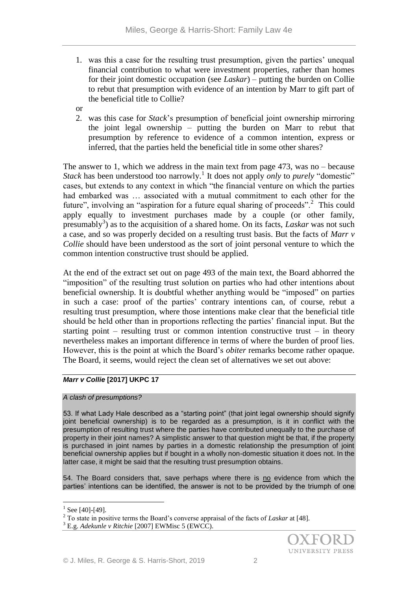- 1. was this a case for the resulting trust presumption, given the parties' unequal financial contribution to what were investment properties, rather than homes for their joint domestic occupation (see *Laskar*) – putting the burden on Collie to rebut that presumption with evidence of an intention by Marr to gift part of the beneficial title to Collie?
- or
- 2. was this case for *Stack*'s presumption of beneficial joint ownership mirroring the joint legal ownership – putting the burden on Marr to rebut that presumption by reference to evidence of a common intention, express or inferred, that the parties held the beneficial title in some other shares?

The answer to 1, which we address in the main text from page 473, was no – because *Stack* has been understood too narrowly.<sup>1</sup> It does not apply *only* to *purely* "domestic" cases, but extends to any context in which "the financial venture on which the parties had embarked was … associated with a mutual commitment to each other for the future", involving an "aspiration for a future equal sharing of proceeds".<sup>2</sup> This could apply equally to investment purchases made by a couple (or other family, presumably<sup>3</sup>) as to the acquisition of a shared home. On its facts, *Laskar* was not such a case, and so was properly decided on a resulting trust basis. But the facts of *Marr v Collie* should have been understood as the sort of joint personal venture to which the common intention constructive trust should be applied.

At the end of the extract set out on page 493 of the main text, the Board abhorred the "imposition" of the resulting trust solution on parties who had other intentions about beneficial ownership. It is doubtful whether anything would be "imposed" on parties in such a case: proof of the parties' contrary intentions can, of course, rebut a resulting trust presumption, where those intentions make clear that the beneficial title should be held other than in proportions reflecting the parties' financial input. But the starting point – resulting trust or common intention constructive trust – in theory nevertheless makes an important difference in terms of where the burden of proof lies. However, this is the point at which the Board's *obiter* remarks become rather opaque. The Board, it seems, would reject the clean set of alternatives we set out above:

## *Marr v Collie* **[2017] UKPC 17**

## *A clash of presumptions?*

53. If what Lady Hale described as a "starting point" (that joint legal ownership should signify joint beneficial ownership) is to be regarded as a presumption, is it in conflict with the presumption of resulting trust where the parties have contributed unequally to the purchase of property in their joint names? A simplistic answer to that question might be that, if the property is purchased in joint names by parties in a domestic relationship the presumption of joint beneficial ownership applies but if bought in a wholly non-domestic situation it does not. In the latter case, it might be said that the resulting trust presumption obtains.

54. The Board considers that, save perhaps where there is  $\underline{no}$  evidence from which the parties' intentions can be identified, the answer is not to be provided by the triumph of one

<u>.</u>

 $^{1}$  See [40]-[49].

<sup>2</sup> To state in positive terms the Board's converse appraisal of the facts of *Laskar* at [48]*.*

<sup>3</sup> E.g. *Adekunle v Ritchie* [2007] EWMisc 5 (EWCC).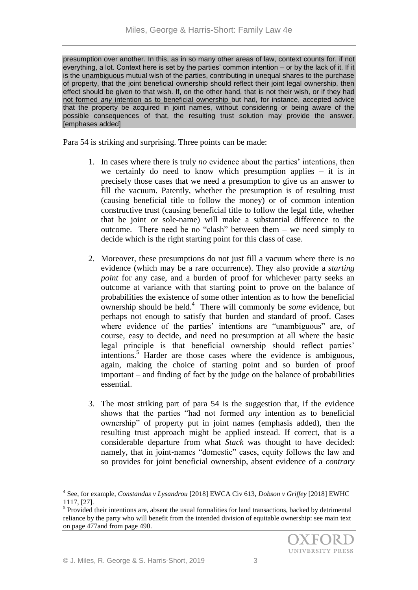presumption over another. In this, as in so many other areas of law, context counts for, if not everything, a lot. Context here is set by the parties' common intention – or by the lack of it. If it is the unambiguous mutual wish of the parties, contributing in unequal shares to the purchase of property, that the joint beneficial ownership should reflect their joint legal ownership, then effect should be given to that wish. If, on the other hand, that is not their wish, or if they had not formed *any* intention as to beneficial ownership but had, for instance, accepted advice that the property be acquired in joint names, without considering or being aware of the possible consequences of that, the resulting trust solution may provide the answer. [emphases added]

Para 54 is striking and surprising. Three points can be made:

- 1. In cases where there is truly *no* evidence about the parties' intentions, then we certainly do need to know which presumption applies – it is in precisely those cases that we need a presumption to give us an answer to fill the vacuum. Patently, whether the presumption is of resulting trust (causing beneficial title to follow the money) or of common intention constructive trust (causing beneficial title to follow the legal title, whether that be joint or sole-name) will make a substantial difference to the outcome. There need be no "clash" between them – we need simply to decide which is the right starting point for this class of case.
- 2. Moreover, these presumptions do not just fill a vacuum where there is *no*  evidence (which may be a rare occurrence). They also provide a *starting point* for any case, and a burden of proof for whichever party seeks an outcome at variance with that starting point to prove on the balance of probabilities the existence of some other intention as to how the beneficial ownership should be held.<sup>4</sup> There will commonly be *some* evidence, but perhaps not enough to satisfy that burden and standard of proof. Cases where evidence of the parties' intentions are "unambiguous" are, of course, easy to decide, and need no presumption at all where the basic legal principle is that beneficial ownership should reflect parties' intentions.<sup>5</sup> Harder are those cases where the evidence is ambiguous, again, making the choice of starting point and so burden of proof important – and finding of fact by the judge on the balance of probabilities essential.
- 3. The most striking part of para 54 is the suggestion that, if the evidence shows that the parties "had not formed *any* intention as to beneficial ownership" of property put in joint names (emphasis added), then the resulting trust approach might be applied instead. If correct, that is a considerable departure from what *Stack* was thought to have decided: namely, that in joint-names "domestic" cases, equity follows the law and so provides for joint beneficial ownership, absent evidence of a *contrary*

<sup>4</sup> See, for example, *Constandas v Lysandrou* [2018] EWCA Civ 613, *Dobson v Griffey* [2018] EWHC 1117, [27].

<sup>&</sup>lt;sup>5</sup> Provided their intentions are, absent the usual formalities for land transactions, backed by detrimental reliance by the party who will benefit from the intended division of equitable ownership: see main text on page 477and from page 490.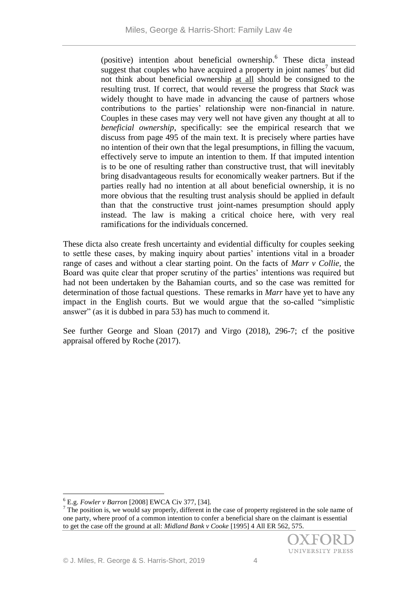(positive) intention about beneficial ownership.<sup>6</sup> These dicta instead suggest that couples who have acquired a property in joint names<sup>7</sup> but did not think about beneficial ownership at all should be consigned to the resulting trust. If correct, that would reverse the progress that *Stack* was widely thought to have made in advancing the cause of partners whose contributions to the parties' relationship were non-financial in nature. Couples in these cases may very well not have given any thought at all to *beneficial ownership*, specifically: see the empirical research that we discuss from page 495 of the main text. It is precisely where parties have no intention of their own that the legal presumptions, in filling the vacuum, effectively serve to impute an intention to them. If that imputed intention is to be one of resulting rather than constructive trust, that will inevitably bring disadvantageous results for economically weaker partners. But if the parties really had no intention at all about beneficial ownership, it is no more obvious that the resulting trust analysis should be applied in default than that the constructive trust joint-names presumption should apply instead. The law is making a critical choice here, with very real ramifications for the individuals concerned.

These dicta also create fresh uncertainty and evidential difficulty for couples seeking to settle these cases, by making inquiry about parties' intentions vital in a broader range of cases and without a clear starting point. On the facts of *Marr v Collie,* the Board was quite clear that proper scrutiny of the parties' intentions was required but had not been undertaken by the Bahamian courts, and so the case was remitted for determination of those factual questions. These remarks in *Marr* have yet to have any impact in the English courts. But we would argue that the so-called "simplistic answer" (as it is dubbed in para 53) has much to commend it.

See further George and Sloan (2017) and Virgo (2018), 296-7; cf the positive appraisal offered by Roche (2017).

 $7$  The position is, we would say properly, different in the case of property registered in the sole name of one party, where proof of a common intention to confer a beneficial share on the claimant is essential to get the case off the ground at all: *Midland Bank v Cooke* [1995] 4 All ER 562, 575.



<sup>6</sup> E.g. *Fowler v Barron* [2008] EWCA Civ 377, [34].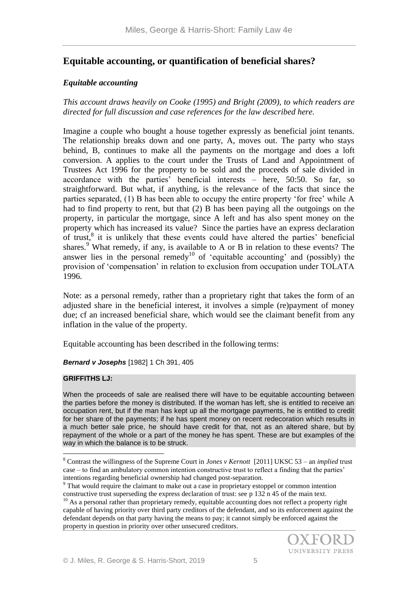# **Equitable accounting, or quantification of beneficial shares?**

# *Equitable accounting*

*This account draws heavily on Cooke (1995) and Bright (2009), to which readers are directed for full discussion and case references for the law described here.*

Imagine a couple who bought a house together expressly as beneficial joint tenants. The relationship breaks down and one party, A, moves out. The party who stays behind, B, continues to make all the payments on the mortgage and does a loft conversion. A applies to the court under the Trusts of Land and Appointment of Trustees Act 1996 for the property to be sold and the proceeds of sale divided in accordance with the parties' beneficial interests – here, 50:50. So far, so straightforward. But what, if anything, is the relevance of the facts that since the parties separated, (1) B has been able to occupy the entire property 'for free' while A had to find property to rent, but that (2) B has been paying all the outgoings on the property, in particular the mortgage, since A left and has also spent money on the property which has increased its value? Since the parties have an express declaration of trust,<sup>8</sup> it is unlikely that these events could have altered the parties' beneficial shares.<sup>9</sup> What remedy, if any, is available to A or B in relation to these events? The answer lies in the personal remedy<sup>10</sup> of 'equitable accounting' and (possibly) the provision of 'compensation' in relation to exclusion from occupation under TOLATA 1996.

Note: as a personal remedy, rather than a proprietary right that takes the form of an adjusted share in the beneficial interest, it involves a simple (re)payment of money due; cf an increased beneficial share, which would see the claimant benefit from any inflation in the value of the property.

Equitable accounting has been described in the following terms:

## *Bernard v Josephs* [1982] 1 Ch 391, 405

#### **GRIFFITHS LJ:**

<u>.</u>

When the proceeds of sale are realised there will have to be equitable accounting between the parties before the money is distributed. If the woman has left, she is entitled to receive an occupation rent, but if the man has kept up all the mortgage payments, he is entitled to credit for her share of the payments; if he has spent money on recent redecoration which results in a much better sale price, he should have credit for that, not as an altered share, but by repayment of the whole or a part of the money he has spent. These are but examples of the way in which the balance is to be struck.

<sup>&</sup>lt;sup>10</sup> As a personal rather than proprietary remedy, equitable accounting does not reflect a property right capable of having priority over third party creditors of the defendant, and so its enforcement against the defendant depends on that party having the means to pay; it cannot simply be enforced against the property in question in priority over other unsecured creditors.



<sup>8</sup> Contrast the willingness of the Supreme Court in *Jones v Kernott* [2011] UKSC 53 – an *implied* trust case – to find an ambulatory common intention constructive trust to reflect a finding that the parties' intentions regarding beneficial ownership had changed post-separation.

<sup>9</sup> That would require the claimant to make out a case in proprietary estoppel or common intention constructive trust superseding the express declaration of trust: see p 132 n 45 of the main text.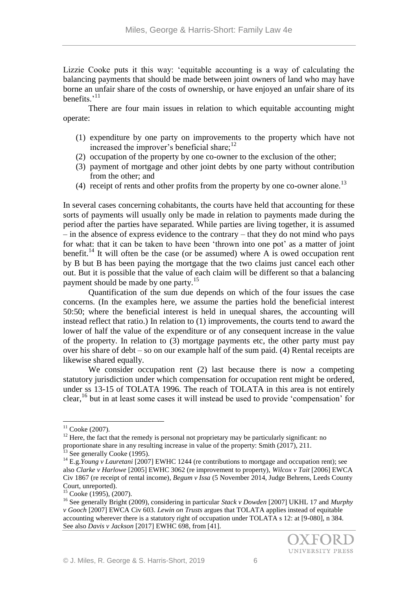Lizzie Cooke puts it this way: 'equitable accounting is a way of calculating the balancing payments that should be made between joint owners of land who may have borne an unfair share of the costs of ownership, or have enjoyed an unfair share of its benefits.'<sup>11</sup>

There are four main issues in relation to which equitable accounting might operate:

- (1) expenditure by one party on improvements to the property which have not increased the improver's beneficial share; $^{12}$
- (2) occupation of the property by one co-owner to the exclusion of the other;
- (3) payment of mortgage and other joint debts by one party without contribution from the other; and
- (4) receipt of rents and other profits from the property by one co-owner alone.<sup>13</sup>

In several cases concerning cohabitants, the courts have held that accounting for these sorts of payments will usually only be made in relation to payments made during the period after the parties have separated. While parties are living together, it is assumed – in the absence of express evidence to the contrary – that they do not mind who pays for what: that it can be taken to have been 'thrown into one pot' as a matter of joint benefit.<sup>14</sup> It will often be the case (or be assumed) where A is owed occupation rent by B but B has been paying the mortgage that the two claims just cancel each other out. But it is possible that the value of each claim will be different so that a balancing payment should be made by one party.<sup>15</sup>

Quantification of the sum due depends on which of the four issues the case concerns. (In the examples here, we assume the parties hold the beneficial interest 50:50; where the beneficial interest is held in unequal shares, the accounting will instead reflect that ratio.) In relation to (1) improvements, the courts tend to award the lower of half the value of the expenditure or of any consequent increase in the value of the property. In relation to (3) mortgage payments etc, the other party must pay over his share of debt – so on our example half of the sum paid. (4) Rental receipts are likewise shared equally.

We consider occupation rent (2) last because there is now a competing statutory jurisdiction under which compensation for occupation rent might be ordered, under ss 13-15 of TOLATA 1996. The reach of TOLATA in this area is not entirely clear,<sup>16</sup> but in at least some cases it will instead be used to provide 'compensation' for

 $11$  Cooke (2007).

 $12$  Here, the fact that the remedy is personal not proprietary may be particularly significant: no proportionate share in any resulting increase in value of the property: Smith (2017), 211.  $13$  See generally Cooke (1995).

<sup>&</sup>lt;sup>14</sup> E.g. *Young v Lauretani* [2007] EWHC 1244 (re contributions to mortgage and occupation rent); see also *Clarke v Harlowe* [2005] EWHC 3062 (re improvement to property), *Wilcox v Tait* [2006] EWCA Civ 1867 (re receipt of rental income), *Begum v Issa* (5 November 2014, Judge Behrens, Leeds County Court, unreported).

<sup>&</sup>lt;sup>15</sup> Cooke (1995), (2007).

<sup>16</sup> See generally Bright (2009), considering in particular *Stack v Dowden* [2007] UKHL 17 and *Murphy v Gooch* [2007] EWCA Civ 603. *Lewin on Trusts* argues that TOLATA applies instead of equitable accounting wherever there is a statutory right of occupation under TOLATA s 12: at [9-080], n 384. See also *Davis v Jackson* [2017] EWHC 698, from [41].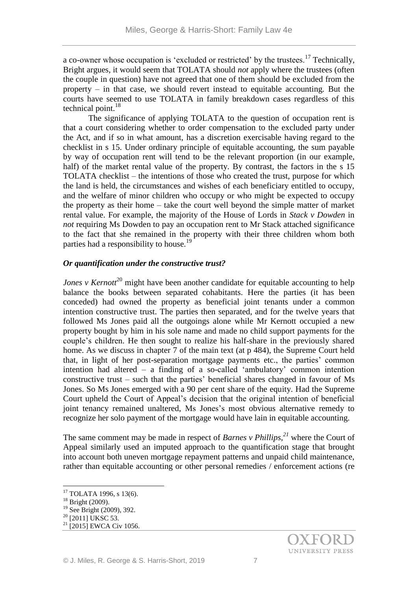a co-owner whose occupation is 'excluded or restricted' by the trustees.<sup>17</sup> Technically, Bright argues, it would seem that TOLATA should *not* apply where the trustees (often the couple in question) have not agreed that one of them should be excluded from the property – in that case, we should revert instead to equitable accounting. But the courts have seemed to use TOLATA in family breakdown cases regardless of this technical point. $18$ 

The significance of applying TOLATA to the question of occupation rent is that a court considering whether to order compensation to the excluded party under the Act, and if so in what amount, has a discretion exercisable having regard to the checklist in s 15. Under ordinary principle of equitable accounting, the sum payable by way of occupation rent will tend to be the relevant proportion (in our example, half) of the market rental value of the property. By contrast, the factors in the s 15 TOLATA checklist – the intentions of those who created the trust, purpose for which the land is held, the circumstances and wishes of each beneficiary entitled to occupy, and the welfare of minor children who occupy or who might be expected to occupy the property as their home – take the court well beyond the simple matter of market rental value. For example, the majority of the House of Lords in *Stack v Dowden* in *not* requiring Ms Dowden to pay an occupation rent to Mr Stack attached significance to the fact that she remained in the property with their three children whom both parties had a responsibility to house.<sup>19</sup>

#### *Or quantification under the constructive trust?*

*Jones v Kernott*<sup>20</sup> might have been another candidate for equitable accounting to help balance the books between separated cohabitants. Here the parties (it has been conceded) had owned the property as beneficial joint tenants under a common intention constructive trust. The parties then separated, and for the twelve years that followed Ms Jones paid all the outgoings alone while Mr Kernott occupied a new property bought by him in his sole name and made no child support payments for the couple's children. He then sought to realize his half-share in the previously shared home. As we discuss in chapter 7 of the main text (at p 484), the Supreme Court held that, in light of her post-separation mortgage payments etc., the parties' common intention had altered – a finding of a so-called 'ambulatory' common intention constructive trust – such that the parties' beneficial shares changed in favour of Ms Jones. So Ms Jones emerged with a 90 per cent share of the equity. Had the Supreme Court upheld the Court of Appeal's decision that the original intention of beneficial joint tenancy remained unaltered, Ms Jones's most obvious alternative remedy to recognize her solo payment of the mortgage would have lain in equitable accounting.

The same comment may be made in respect of *Barnes v Phillips,<sup>21</sup>* where the Court of Appeal similarly used an imputed approach to the quantification stage that brought into account both uneven mortgage repayment patterns and unpaid child maintenance, rather than equitable accounting or other personal remedies / enforcement actions (re

 $17$  TOLATA 1996, s 13(6).

<sup>18</sup> Bright (2009).

<sup>&</sup>lt;sup>19</sup> See Bright (2009), 392.

 $^{20}$  [2011] UKSC 53.

 $21$  [2015] EWCA Civ 1056.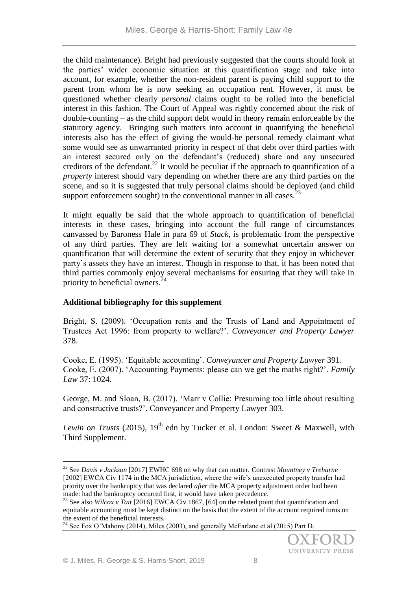the child maintenance). Bright had previously suggested that the courts should look at the parties' wider economic situation at this quantification stage and take into account, for example, whether the non-resident parent is paying child support to the parent from whom he is now seeking an occupation rent. However, it must be questioned whether clearly *personal* claims ought to be rolled into the beneficial interest in this fashion. The Court of Appeal was rightly concerned about the risk of double-counting – as the child support debt would in theory remain enforceable by the statutory agency. Bringing such matters into account in quantifying the beneficial interests also has the effect of giving the would-be personal remedy claimant what some would see as unwarranted priority in respect of that debt over third parties with an interest secured only on the defendant's (reduced) share and any unsecured creditors of the defendant.<sup>22</sup> It would be peculiar if the approach to quantification of a *property* interest should vary depending on whether there are any third parties on the scene, and so it is suggested that truly personal claims should be deployed (and child support enforcement sought) in the conventional manner in all cases.  $2<sup>3</sup>$ 

It might equally be said that the whole approach to quantification of beneficial interests in these cases, bringing into account the full range of circumstances canvassed by Baroness Hale in para 69 of *Stack,* is problematic from the perspective of any third parties. They are left waiting for a somewhat uncertain answer on quantification that will determine the extent of security that they enjoy in whichever party's assets they have an interest. Though in response to that, it has been noted that third parties commonly enjoy several mechanisms for ensuring that they will take in priority to beneficial owners.<sup>24</sup>

# **Additional bibliography for this supplement**

Bright, S. (2009). 'Occupation rents and the Trusts of Land and Appointment of Trustees Act 1996: from property to welfare?'. *Conveyancer and Property Lawyer*  378.

Cooke, E. (1995). 'Equitable accounting'. *Conveyancer and Property Lawyer* 391. Cooke, E. (2007). 'Accounting Payments: please can we get the maths right?'. *Family Law* 37: 1024.

George, M. and Sloan, B. (2017). 'Marr v Collie: Presuming too little about resulting and constructive trusts?'. Conveyancer and Property Lawyer 303.

*Lewin on Trusts (2015), 19<sup>th</sup>* edn by Tucker et al. London: Sweet & Maxwell, with Third Supplement.

<sup>22</sup> See *Davis v Jackson* [2017] EWHC 698 on why that can matter. Contrast *Mountney v Treharne*  [2002] EWCA Civ 1174 in the MCA jurisdiction, where the wife's unexecuted property transfer had priority over the bankruptcy that was declared *after* the MCA property adjustment order had been made: had the bankruptcy occurred first, it would have taken precedence.

<sup>&</sup>lt;sup>23</sup> See also *Wilcox v Tait* [2016] EWCA Civ 1867, [64] on the related point that quantification and equitable accounting must be kept distinct on the basis that the extent of the account required turns on the extent of the beneficial interests.

<sup>&</sup>lt;sup>24</sup> See Fox O'Mahony (2014), Miles (2003), and generally McFarlane et al (2015) Part D.